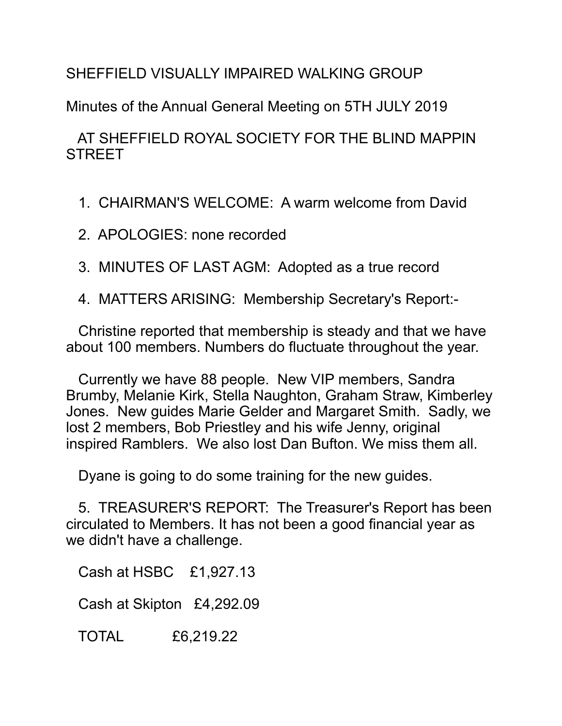## SHEFFIELD VISUALLY IMPAIRED WALKING GROUP

Minutes of the Annual General Meeting on 5TH JULY 2019

## AT SHEFFIELD ROYAL SOCIETY FOR THE BLIND MAPPIN **STREET**

- 1. CHAIRMAN'S WELCOME: A warm welcome from David
- 2. APOLOGIES: none recorded
- 3. MINUTES OF LAST AGM: Adopted as a true record
- 4. MATTERS ARISING: Membership Secretary's Report:-

 Christine reported that membership is steady and that we have about 100 members. Numbers do fluctuate throughout the year.

 Currently we have 88 people. New VIP members, Sandra Brumby, Melanie Kirk, Stella Naughton, Graham Straw, Kimberley Jones. New guides Marie Gelder and Margaret Smith. Sadly, we lost 2 members, Bob Priestley and his wife Jenny, original inspired Ramblers. We also lost Dan Bufton. We miss them all.

Dyane is going to do some training for the new guides.

 5. TREASURER'S REPORT: The Treasurer's Report has been circulated to Members. It has not been a good financial year as we didn't have a challenge.

Cash at HSBC £1,927.13

Cash at Skipton £4,292.09

TOTAL £6,219.22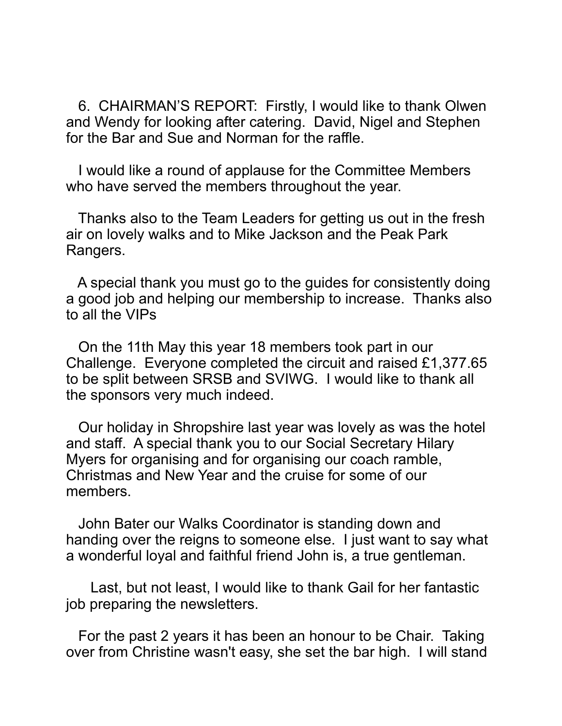6. CHAIRMAN'S REPORT: Firstly, I would like to thank Olwen and Wendy for looking after catering. David, Nigel and Stephen for the Bar and Sue and Norman for the raffle.

 I would like a round of applause for the Committee Members who have served the members throughout the year.

 Thanks also to the Team Leaders for getting us out in the fresh air on lovely walks and to Mike Jackson and the Peak Park Rangers.

 A special thank you must go to the guides for consistently doing a good job and helping our membership to increase. Thanks also to all the VIPs

 On the 11th May this year 18 members took part in our Challenge. Everyone completed the circuit and raised £1,377.65 to be split between SRSB and SVIWG. I would like to thank all the sponsors very much indeed.

 Our holiday in Shropshire last year was lovely as was the hotel and staff. A special thank you to our Social Secretary Hilary Myers for organising and for organising our coach ramble, Christmas and New Year and the cruise for some of our members.

 John Bater our Walks Coordinator is standing down and handing over the reigns to someone else. I just want to say what a wonderful loyal and faithful friend John is, a true gentleman.

 Last, but not least, I would like to thank Gail for her fantastic job preparing the newsletters.

 For the past 2 years it has been an honour to be Chair. Taking over from Christine wasn't easy, she set the bar high. I will stand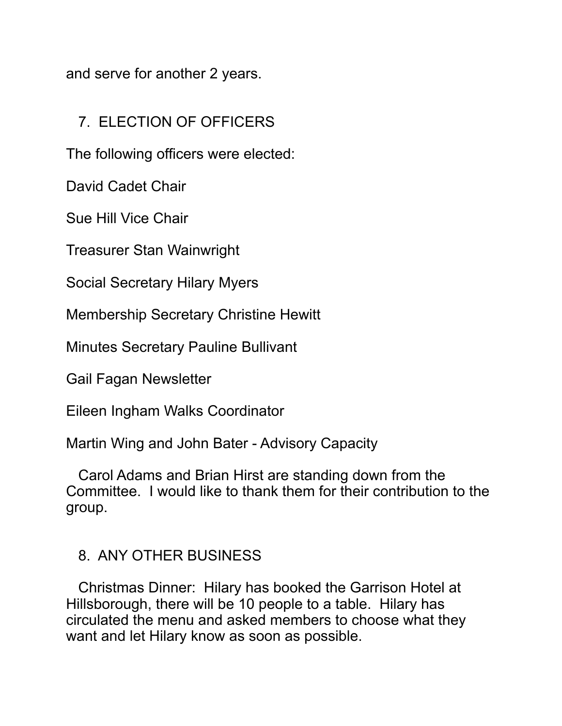and serve for another 2 years.

## 7. ELECTION OF OFFICERS

The following officers were elected:

David Cadet Chair

Sue Hill Vice Chair

Treasurer Stan Wainwright

Social Secretary Hilary Myers

Membership Secretary Christine Hewitt

Minutes Secretary Pauline Bullivant

Gail Fagan Newsletter

Eileen Ingham Walks Coordinator

Martin Wing and John Bater - Advisory Capacity

 Carol Adams and Brian Hirst are standing down from the Committee. I would like to thank them for their contribution to the group.

## 8. ANY OTHER BUSINESS

 Christmas Dinner: Hilary has booked the Garrison Hotel at Hillsborough, there will be 10 people to a table. Hilary has circulated the menu and asked members to choose what they want and let Hilary know as soon as possible.